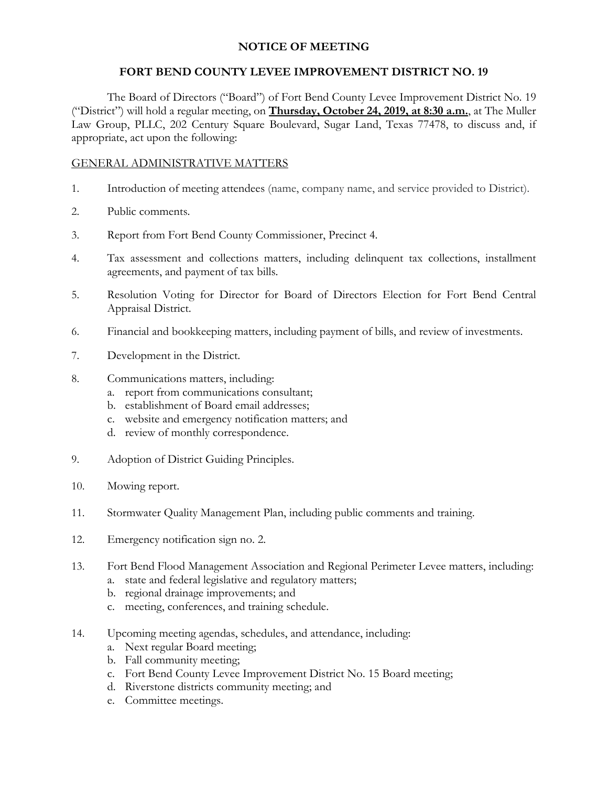# **NOTICE OF MEETING**

## **FORT BEND COUNTY LEVEE IMPROVEMENT DISTRICT NO. 19**

The Board of Directors ("Board") of Fort Bend County Levee Improvement District No. 19 ("District") will hold a regular meeting, on **Thursday, October 24, 2019, at 8:30 a.m.**, at The Muller Law Group, PLLC, 202 Century Square Boulevard, Sugar Land, Texas 77478, to discuss and, if appropriate, act upon the following:

#### GENERAL ADMINISTRATIVE MATTERS

- 1. Introduction of meeting attendees (name, company name, and service provided to District).
- 2. Public comments.
- 3. Report from Fort Bend County Commissioner, Precinct 4.
- 4. Tax assessment and collections matters, including delinquent tax collections, installment agreements, and payment of tax bills.
- 5. Resolution Voting for Director for Board of Directors Election for Fort Bend Central Appraisal District.
- 6. Financial and bookkeeping matters, including payment of bills, and review of investments.
- 7. Development in the District.
- 8. Communications matters, including:
	- a. report from communications consultant;
	- b. establishment of Board email addresses;
	- c. website and emergency notification matters; and
	- d. review of monthly correspondence.
- 9. Adoption of District Guiding Principles.
- 10. Mowing report.
- 11. Stormwater Quality Management Plan, including public comments and training.
- 12. Emergency notification sign no. 2.
- 13. Fort Bend Flood Management Association and Regional Perimeter Levee matters, including:
	- a. state and federal legislative and regulatory matters;
	- b. regional drainage improvements; and
	- c. meeting, conferences, and training schedule.
- 14. Upcoming meeting agendas, schedules, and attendance, including:
	- a. Next regular Board meeting;
	- b. Fall community meeting;
	- c. Fort Bend County Levee Improvement District No. 15 Board meeting;
	- d. Riverstone districts community meeting; and
	- e. Committee meetings.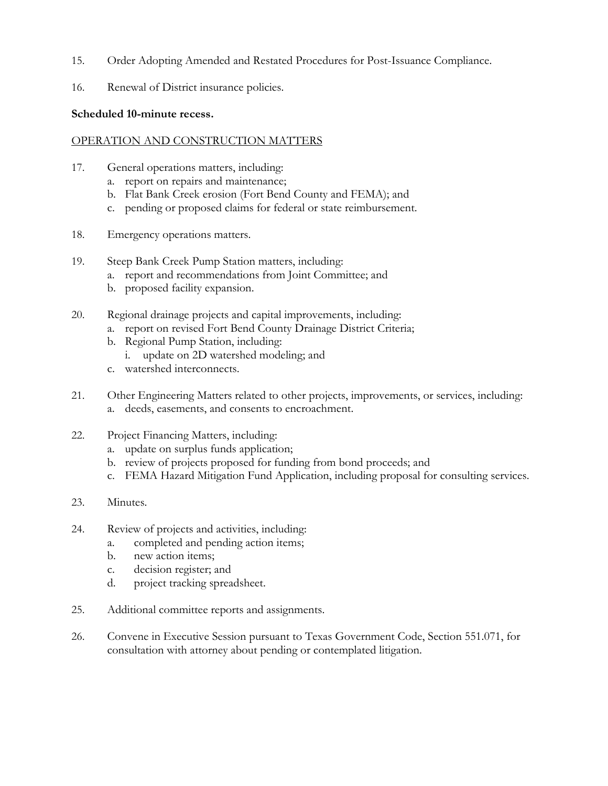- 15. Order Adopting Amended and Restated Procedures for Post-Issuance Compliance.
- 16. Renewal of District insurance policies.

## **Scheduled 10-minute recess.**

## OPERATION AND CONSTRUCTION MATTERS

- 17. General operations matters, including:
	- a. report on repairs and maintenance;
	- b. Flat Bank Creek erosion (Fort Bend County and FEMA); and
	- c. pending or proposed claims for federal or state reimbursement.
- 18. Emergency operations matters.
- 19. Steep Bank Creek Pump Station matters, including:
	- a. report and recommendations from Joint Committee; and
	- b. proposed facility expansion.
- 20. Regional drainage projects and capital improvements, including:
	- a. report on revised Fort Bend County Drainage District Criteria;
	- b. Regional Pump Station, including:
		- i. update on 2D watershed modeling; and
	- c. watershed interconnects.
- 21. Other Engineering Matters related to other projects, improvements, or services, including: a. deeds, easements, and consents to encroachment.
- 22. Project Financing Matters, including:
	- a. update on surplus funds application;
	- b. review of projects proposed for funding from bond proceeds; and
	- c. FEMA Hazard Mitigation Fund Application, including proposal for consulting services.
- 23. Minutes.
- 24. Review of projects and activities, including:
	- a. completed and pending action items;
	- b. new action items;
	- c. decision register; and
	- d. project tracking spreadsheet.
- 25. Additional committee reports and assignments.
- 26. Convene in Executive Session pursuant to Texas Government Code, Section 551.071, for consultation with attorney about pending or contemplated litigation.